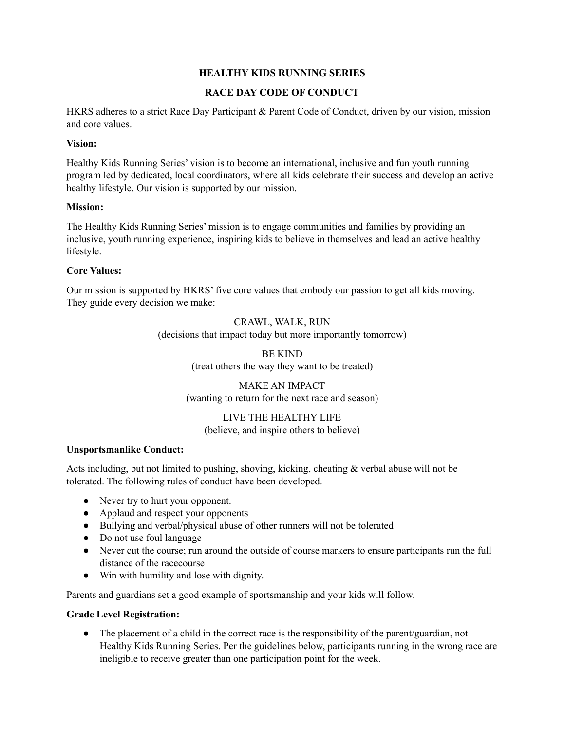# **HEALTHY KIDS RUNNING SERIES**

# **RACE DAY CODE OF CONDUCT**

HKRS adheres to a strict Race Day Participant & Parent Code of Conduct, driven by our vision, mission and core values.

#### **Vision:**

Healthy Kids Running Series' vision is to become an international, inclusive and fun youth running program led by dedicated, local coordinators, where all kids celebrate their success and develop an active healthy lifestyle. Our vision is supported by our mission.

#### **Mission:**

The Healthy Kids Running Series' mission is to engage communities and families by providing an inclusive, youth running experience, inspiring kids to believe in themselves and lead an active healthy lifestyle.

### **Core Values:**

Our mission is supported by HKRS' five core values that embody our passion to get all kids moving. They guide every decision we make:

> CRAWL, WALK, RUN (decisions that impact today but more importantly tomorrow)

> > BE KIND (treat others the way they want to be treated)

MAKE AN IMPACT (wanting to return for the next race and season)

LIVE THE HEALTHY LIFE (believe, and inspire others to believe)

#### **Unsportsmanlike Conduct:**

Acts including, but not limited to pushing, shoving, kicking, cheating & verbal abuse will not be tolerated. The following rules of conduct have been developed.

- Never try to hurt your opponent.
- Applaud and respect your opponents
- Bullying and verbal/physical abuse of other runners will not be tolerated
- Do not use foul language
- Never cut the course; run around the outside of course markers to ensure participants run the full distance of the racecourse
- Win with humility and lose with dignity.

Parents and guardians set a good example of sportsmanship and your kids will follow.

#### **Grade Level Registration:**

• The placement of a child in the correct race is the responsibility of the parent/guardian, not Healthy Kids Running Series. Per the guidelines below, participants running in the wrong race are ineligible to receive greater than one participation point for the week.